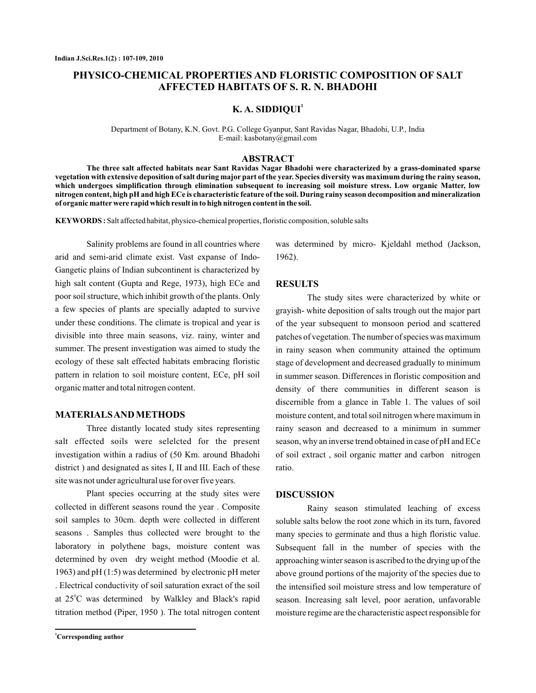# **PHYSICO-CHEMICAL PROPERTIES AND FLORISTIC COMPOSITION OF SALT AFFECTED HABITATS OF S. R. N. BHADOHI**

## **K. A. SIDDIQUI 1**

Department of Botany, K.N. Govt. P.G. College Gyanpur, Sant Ravidas Nagar, Bhadohi, U.P., India E-mail: kasbotany@gmail.com

### **ABSTRACT**

**The three salt affected habitats near Sant Ravidas Nagar Bhadohi were characterized by a grass-dominated sparse vegetation with extensive deposition of salt during major part of the year. Species diversity was maximum during the rainy season, which undergoes simplification through elimination subsequent to increasing soil moisture stress. Low organic Matter, low nitrogen content, high pH and high ECe is characteristic feature of the soil. During rainy season decomposition and mineralization of organic matter were rapid which result in to high nitrogen content in the soil.**

KEYWORDS: Salt affected habitat, physico-chemical properties, floristic composition, soluble salts

Salinity problems are found in all countries where arid and semi-arid climate exist. Vast expanse of Indo-Gangetic plains of Indian subcontinent is characterized by high salt content (Gupta and Rege, 1973), high ECe and poor soil structure, which inhibit growth of the plants. Only a few species of plants are specially adapted to survive under these conditions. The climate is tropical and year is divisible into three main seasons, viz. rainy, winter and summer. The present investigation was aimed to study the ecology of these salt effected habitats embracing floristic pattern in relation to soil moisture content, ECe, pH soil organic matter and total nitrogen content.

## **MATERIALSAND METHODS**

Three distantly located study sites representing salt effected soils were selelcted for the present investigation within a radius of (50 Km. around Bhadohi district) and designated as sites I, II and III. Each of these site was not under agricultural use for over five years.

Plant species occurring at the study sites were collected in different seasons round the year . Composite soil samples to 30cm. depth were collected in different seasons . Samples thus collected were brought to the laboratory in polythene bags, moisture content was determined by oven dry weight method (Moodie et al. 1963) and pH (1:5) was determined by electronic pH meter . Electrical conductivity of soil saturation exract of the soil at  $25^{\circ}$ C was determined by Walkley and Black's rapid titration method (Piper, 1950 ). The total nitrogen content was determined by micro- Kjeldahl method (Jackson, 1962).

#### **RESULTS**

The study sites were characterized by white or grayish- white deposition of salts trough out the major part of the year subsequent to monsoon period and scattered patches of vegetation. The number of species was maximum in rainy season when community attained the optimum stage of development and decreased gradually to minimum in summer season. Differences in floristic composition and density of there communities in different season is discernible from a glance in Table 1. The values of soil moisture content, and total soil nitrogen where maximum in rainy season and decreased to a minimum in summer season, why an inverse trend obtained in case of pH and ECe of soil extract , soil organic matter and carbon nitrogen ratio.

#### **DISCUSSION**

Rainy season stimulated leaching of excess soluble salts below the root zone which in its turn, favored many species to germinate and thus a high floristic value. Subsequent fall in the number of species with the approaching winter season is ascribed to the drying up of the above ground portions of the majority of the species due to the intensified soil moisture stress and low temperature of season. Increasing salt level, poor aeration, unfavorable moisture regime are the characteristic aspect responsible for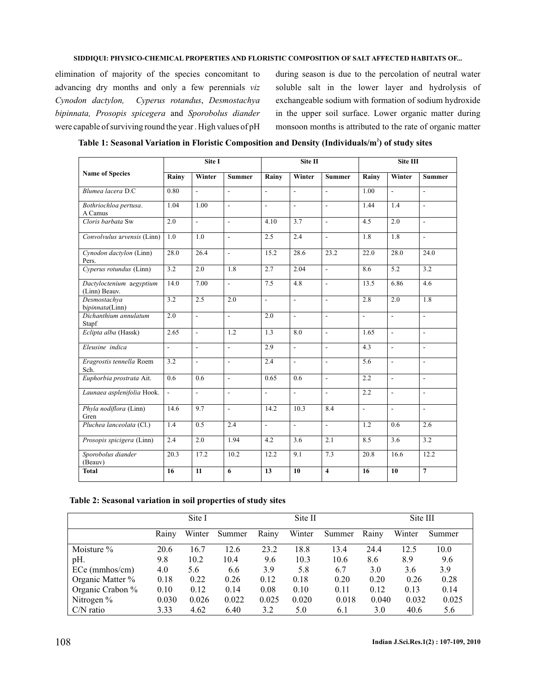## **SIDDIQUI: PHYSICO-CHEMICAL PROPERTIES AND FLORISTIC COMPOSITION OF SALT AFFECTED HABITATS OF...**

elimination of majority of the species concomitant to advancing dry months and only a few perennials *viz* Cynodon dactylon, Cyperus rotandus, Desmostachya bipinnata, Prosopis spicegera and Sporobolus diander were capable of surviving round the year . High values of pH during season is due to the percolation of neutral water soluble salt in the lower layer and hydrolysis of exchangeable sodium with formation of sodium hydroxide in the upper soil surface. Lower organic matter during monsoon months is attributed to the rate of organic matter

| <b>Name of Species</b>                    | Site I                      |                          |                          | Site II                   |                          |                          | Site III                 |                     |                          |
|-------------------------------------------|-----------------------------|--------------------------|--------------------------|---------------------------|--------------------------|--------------------------|--------------------------|---------------------|--------------------------|
|                                           | Rainy                       | Winter                   | <b>Summer</b>            | Rainy                     | Winter                   | <b>Summer</b>            | Rainy                    | Winter              | <b>Summer</b>            |
| Blumea lacera D.C                         | 0.80                        | $\overline{a}$           | $\overline{a}$           | $\frac{1}{2}$             | $\mathbb{L}$             | $\overline{a}$           | 1.00                     | $\overline{a}$      | $\mathbf{r}$             |
| Bothriochloa pertusa.<br>A Camus          | 1.04                        | 1.00                     | $\overline{a}$           | $\overline{\phantom{a}}$  | $\overline{\phantom{a}}$ | $\overline{\phantom{a}}$ | 1.44                     | 1.4                 | $\blacksquare$           |
| Cloris barbata Sw                         | $\overline{2.0}$            | $\overline{a}$           | $\mathcal{L}$            | 4.10                      | $\overline{3.7}$         | $\overline{a}$           | $\overline{4.5}$         | $\overline{2.0}$    | $\mathbb{L}$             |
| Convolvulus arvensis (Linn)               | 1.0                         | 1.0                      | $\mathbf{r}$             | 2.5                       | 2.4                      | L.                       | 1.8                      | 1.8                 | $\overline{a}$           |
| Cynodon dactylon (Linn)<br>Pers.          | 28.0                        | 26.4                     | $\overline{\phantom{a}}$ | 15.2                      | 28.6                     | $\overline{23.2}$        | 22.0                     | 28.0                | $\overline{24.0}$        |
| Cyperus rotundus (Linn)                   | 3.2                         | $\overline{2.0}$         | 1.8                      | 2.7                       | 2.04                     | $\mathbb{L}$             | 8.6                      | 5.2                 | $\overline{3.2}$         |
| Dactyloctenium aegyptium<br>(Linn) Beauv. | 14.0                        | 7.00                     | $\overline{\phantom{a}}$ | 7.5                       | 4.8                      | $\overline{a}$           | 13.5                     | 6.86                | 4.6                      |
| Desmostachya<br>bipinnata(Linn)           | 3.2                         | 2.5                      | 2.0                      | ÷.                        | L,                       | $\overline{\phantom{a}}$ | 2.8                      | 2.0                 | 1.8                      |
| Dichanthium annulatum<br>Stapf            | 2.0                         | $\frac{1}{2}$            | $\overline{\phantom{a}}$ | 2.0                       | $\overline{\phantom{a}}$ | $\overline{\phantom{a}}$ | $\overline{\phantom{0}}$ | $\overline{a}$      | $\overline{\phantom{a}}$ |
| Eclipta alba (Hassk)                      | 2.65                        | $\overline{a}$           | 1.2                      | 1.3                       | 8.0                      | $\overline{a}$           | 1.65                     | $\overline{a}$      | $\overline{a}$           |
| Eleusine indica                           | $\mathcal{L}^{\mathcal{A}}$ | $\overline{a}$           | $\mathbf{L}$             | 2.9                       | $\mathbb{L}^+$           | $\overline{\phantom{a}}$ | $\overline{4.3}$         | $\bar{\phantom{a}}$ | $\sim$                   |
| Eragrostis tennella Roem<br>Sch.          | 3.2                         | $\overline{\phantom{a}}$ | $\mathbf{r}$             | 2.4                       | $\overline{a}$           | $\overline{\phantom{a}}$ | $\overline{5.6}$         | $\mathbf{r}$        | $\mathbf{r}$             |
| Euphorbia prostrata Ait.                  | 0.6                         | 0.6                      | $\overline{\phantom{a}}$ | 0.65                      | 0.6                      | $\overline{\phantom{a}}$ | $\overline{2.2}$         | $\overline{a}$      | $\overline{\phantom{a}}$ |
| Launaea asplenifolia Hook.                | $\mathcal{L}^{\pm}$         | $\frac{1}{2}$            | $\Box$                   | $\mathbb{L}^{\mathbb{N}}$ | $\Box$                   | $\overline{\phantom{a}}$ | 2.2                      | $\frac{1}{2}$       | $\overline{\phantom{a}}$ |
| Phyla nodiflora (Linn)<br>Gren            | 14.6                        | 9.7                      | $\mathbf{r}$             | 14.2                      | 10.3                     | 8.4                      | $\overline{\phantom{a}}$ | $\blacksquare$      | $\mathbf{r}$             |
| Pluchea lanceolata (Cl.)                  | 1.4                         | 0.5                      | 2.4                      | $\Box$                    | $\mathbb{L}$             | $\frac{1}{2}$            | 1.2                      | 0.6                 | 2.6                      |
| Prosopis spicigera (Linn)                 | 2.4                         | 2.0                      | 1.94                     | 4.2                       | 3.6                      | 2.1                      | 8.5                      | 3.6                 | 3.2                      |
| Sporobolus diander<br>(Beauv)             | 20.3                        | 17.2                     | 10.2                     | 12.2                      | 9.1                      | 7.3                      | 20.8                     | 16.6                | 12.2                     |
| <b>Total</b>                              | 16                          | 11                       | 6                        | 13                        | 10                       | $\overline{\mathbf{4}}$  | 16                       | 10                  | $\overline{7}$           |

#### Table 1: Seasonal Variation in Floristic Composition and Density (Individuals/m<sup>2</sup>) of study sites

## **Table 2: Seasonal variation in soil properties of study sites**

|                  | Site I |        |        | Site II |        |        | Site III |        |        |
|------------------|--------|--------|--------|---------|--------|--------|----------|--------|--------|
|                  | Rainy  | Winter | Summer | Rainy   | Winter | Summer | Rainy    | Winter | Summer |
| Moisture %       | 20.6   | 16.7   | 12.6   | 23.2    | 18.8   | 13.4   | 24.4     | 12.5   | 10.0   |
| pH.              | 9.8    | 10.2   | 10.4   | 9.6     | 10.3   | 10.6   | 8.6      | 8.9    | 9.6    |
| $ECe$ (mmhos/cm) | 4.0    | 5.6    | 6.6    | 3.9     | 5.8    | 6.7    | 3.0      | 3.6    | 3.9    |
| Organic Matter % | 0.18   | 0.22   | 0.26   | 0.12    | 0.18   | 0.20   | 0.20     | 0.26   | 0.28   |
| Organic Crabon % | 0.10   | 0.12   | 0.14   | 0.08    | 0.10   | 0.11   | 0.12     | 0.13   | 0.14   |
| Nitrogen $%$     | 0.030  | 0.026  | 0.022  | 0.025   | 0.020  | 0.018  | 0.040    | 0.032  | 0.025  |
| $C/N$ ratio      | 3.33   | 4.62   | 6.40   | 3.2     | 5.0    | 6.1    | 3.0      | 40.6   | 5.6    |